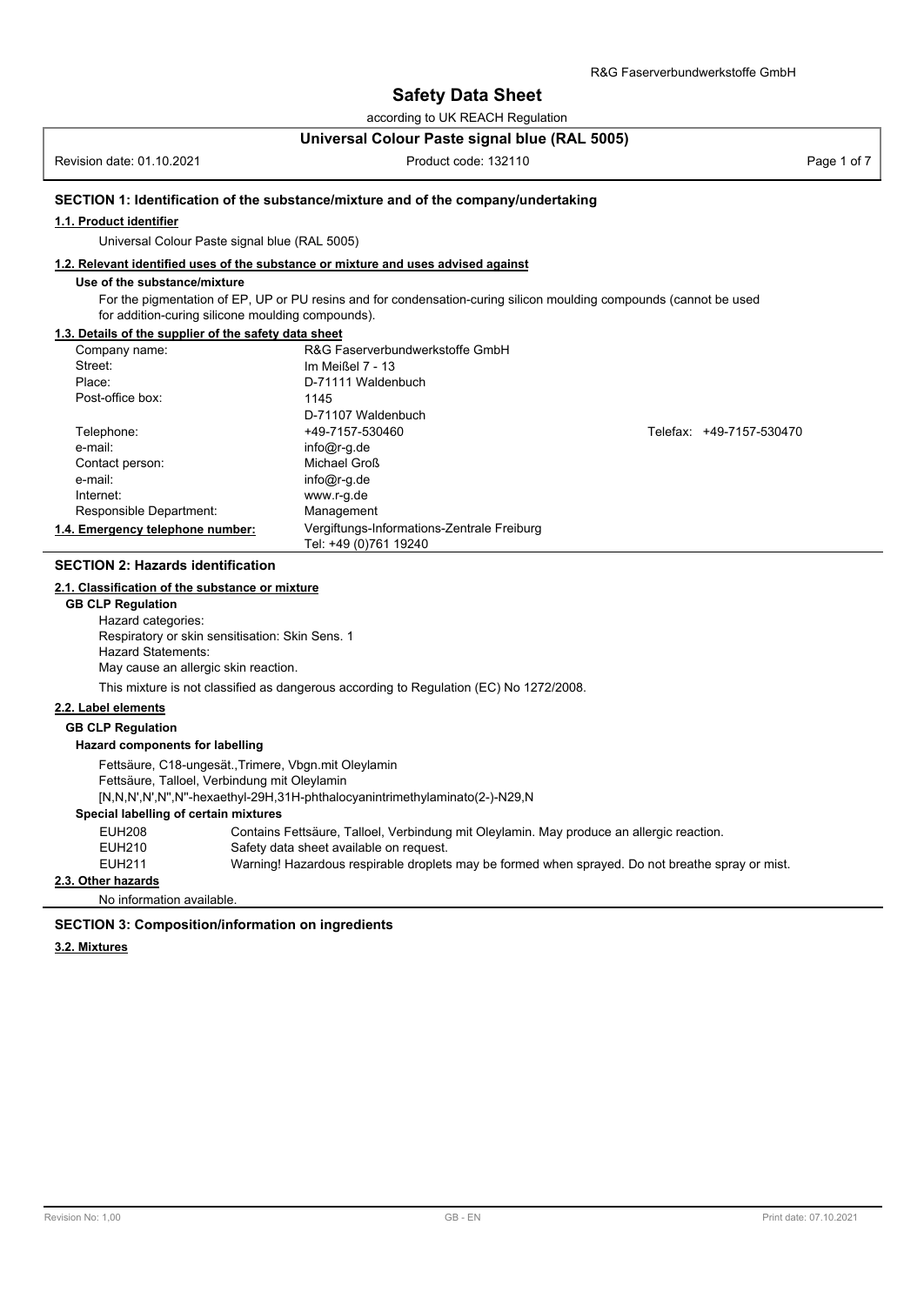according to UK REACH Regulation

#### **Universal Colour Paste signal blue (RAL 5005)**

Revision date: 01.10.2021 **Product code: 132110** Product code: 132110 **Page 1 of 7** Page 1 of 7

#### **SECTION 1: Identification of the substance/mixture and of the company/undertaking**

#### **1.1. Product identifier**

Universal Colour Paste signal blue (RAL 5005)

#### **1.2. Relevant identified uses of the substance or mixture and uses advised against**

#### **Use of the substance/mixture**

For the pigmentation of EP, UP or PU resins and for condensation-curing silicon moulding compounds (cannot be used for addition-curing silicone moulding compounds).

#### **1.3. Details of the supplier of the safety data sheet**

| Company name:                    | R&G Faserverbundwerkstoffe GmbH                                     |                          |  |
|----------------------------------|---------------------------------------------------------------------|--------------------------|--|
| Street:                          | Im Meißel 7 - 13                                                    |                          |  |
| Place:                           | D-71111 Waldenbuch                                                  |                          |  |
| Post-office box:                 | 1145                                                                |                          |  |
|                                  | D-71107 Waldenbuch                                                  |                          |  |
| Telephone:                       | +49-7157-530460                                                     | Telefax: +49-7157-530470 |  |
| e-mail:                          | $info@r-g.de$                                                       |                          |  |
| Contact person:                  | Michael Groß                                                        |                          |  |
| e-mail:                          | $info@r-g.de$                                                       |                          |  |
| Internet:                        | www.r-g.de                                                          |                          |  |
| Responsible Department:          | Management                                                          |                          |  |
| 1.4. Emergency telephone number: | Vergiftungs-Informations-Zentrale Freiburg<br>Tel: +49 (0)761 19240 |                          |  |

#### **SECTION 2: Hazards identification**

#### **2.1. Classification of the substance or mixture**

**GB CLP Regulation** Hazard categories: Respiratory or skin sensitisation: Skin Sens. 1 Hazard Statements: May cause an allergic skin reaction.

This mixture is not classified as dangerous according to Regulation (EC) No 1272/2008.

#### **2.2. Label elements**

# **GB CLP Regulation**

### **Hazard components for labelling**

Fettsäure, C18-ungesät.,Trimere, Vbgn.mit Oleylamin

Fettsäure, Talloel, Verbindung mit Oleylamin

[N,N,N',N',N'',N''-hexaethyl-29H,31H-phthalocyanintrimethylaminato(2-)-N29,N

# **Special labelling of certain mixtures**

| EUH208 | Contains Fettsäure, Talloel, Verbindung mit Oleylamin. May produce an allergic reaction.         |
|--------|--------------------------------------------------------------------------------------------------|
| EUH210 | Safety data sheet available on request.                                                          |
| EUH211 | Warning! Hazardous respirable droplets may be formed when sprayed. Do not breathe spray or mist. |

# **2.3. Other hazards**

No information available.

#### **SECTION 3: Composition/information on ingredients**

#### **3.2. Mixtures**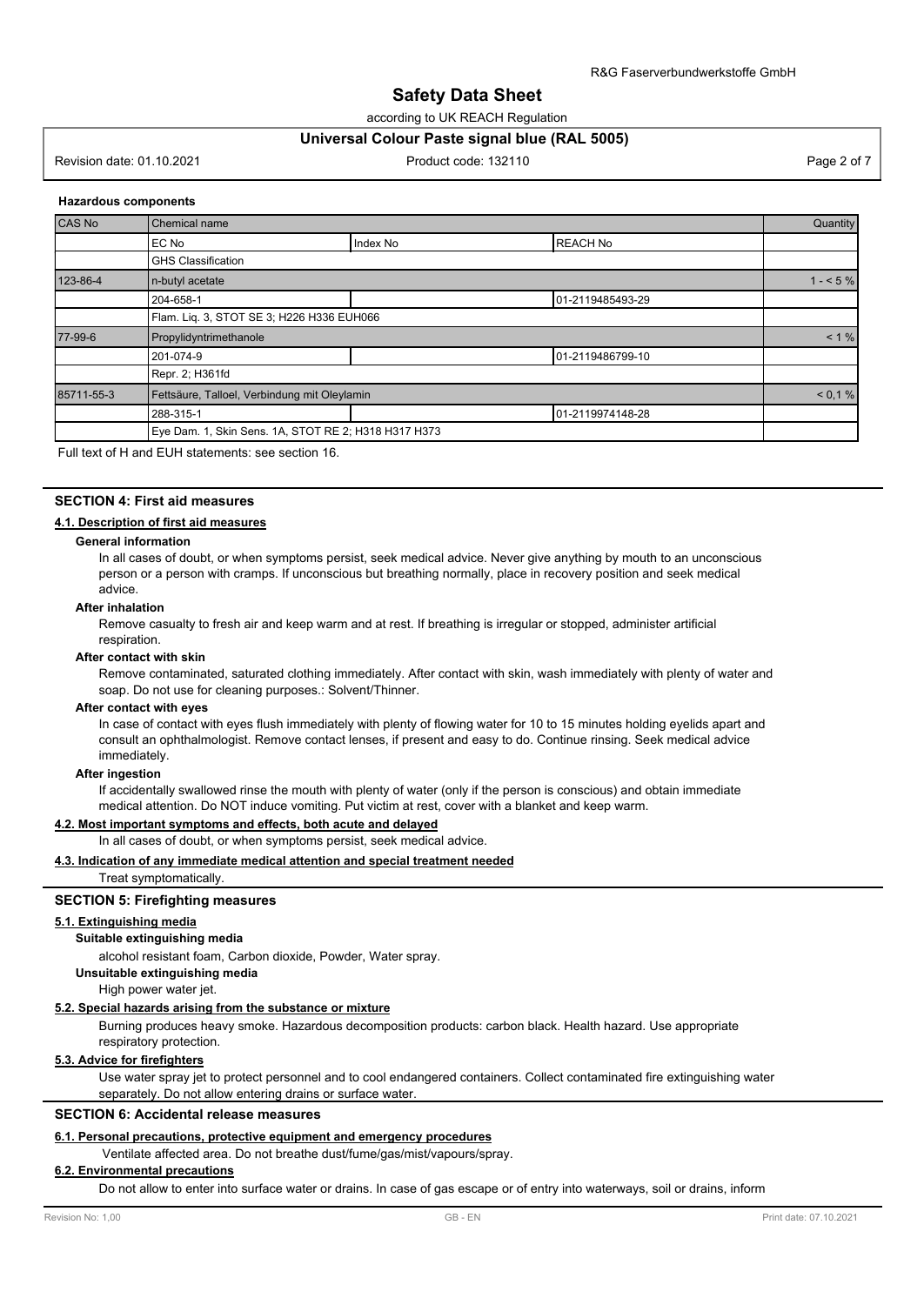according to UK REACH Regulation

#### **Universal Colour Paste signal blue (RAL 5005)**

Revision date: 01.10.2021 **Product code: 132110** Product code: 132110 **Page 2 of 7** Page 2 of 7

#### **Hazardous components**

| CAS No     | Chemical name                                        |          |                  |           |
|------------|------------------------------------------------------|----------|------------------|-----------|
|            | EC No                                                | Index No | <b>REACH No</b>  |           |
|            | <b>GHS Classification</b>                            |          |                  |           |
| 123-86-4   | n-butyl acetate                                      |          |                  | $1 - 5\%$ |
|            | 204-658-1                                            |          | 01-2119485493-29 |           |
|            | Flam. Lig. 3, STOT SE 3; H226 H336 EUH066            |          |                  |           |
| 77-99-6    | Propylidyntrimethanole                               |          |                  | $< 1 \%$  |
|            | 201-074-9                                            |          | 01-2119486799-10 |           |
|            | Repr. 2; H361fd                                      |          |                  |           |
| 85711-55-3 | Fettsäure, Talloel, Verbindung mit Oleylamin         |          |                  | < 0.1 %   |
|            | 288-315-1                                            |          | 01-2119974148-28 |           |
|            | Eye Dam. 1, Skin Sens. 1A, STOT RE 2; H318 H317 H373 |          |                  |           |

Full text of H and EUH statements: see section 16.

#### **SECTION 4: First aid measures**

#### **4.1. Description of first aid measures**

#### **General information**

In all cases of doubt, or when symptoms persist, seek medical advice. Never give anything by mouth to an unconscious person or a person with cramps. If unconscious but breathing normally, place in recovery position and seek medical advice.

#### **After inhalation**

Remove casualty to fresh air and keep warm and at rest. If breathing is irregular or stopped, administer artificial respiration.

#### **After contact with skin**

Remove contaminated, saturated clothing immediately. After contact with skin, wash immediately with plenty of water and soap. Do not use for cleaning purposes.: Solvent/Thinner.

#### **After contact with eyes**

In case of contact with eyes flush immediately with plenty of flowing water for 10 to 15 minutes holding eyelids apart and consult an ophthalmologist. Remove contact lenses, if present and easy to do. Continue rinsing. Seek medical advice immediately.

#### **After ingestion**

If accidentally swallowed rinse the mouth with plenty of water (only if the person is conscious) and obtain immediate medical attention. Do NOT induce vomiting. Put victim at rest, cover with a blanket and keep warm.

#### **4.2. Most important symptoms and effects, both acute and delayed**

In all cases of doubt, or when symptoms persist, seek medical advice.

#### **4.3. Indication of any immediate medical attention and special treatment needed**

Treat symptomatically.

#### **SECTION 5: Firefighting measures**

#### **5.1. Extinguishing media**

#### **Suitable extinguishing media**

alcohol resistant foam, Carbon dioxide, Powder, Water spray.

#### **Unsuitable extinguishing media**

High power water jet.

#### **5.2. Special hazards arising from the substance or mixture**

Burning produces heavy smoke. Hazardous decomposition products: carbon black. Health hazard. Use appropriate respiratory protection.

#### **5.3. Advice for firefighters**

Use water spray jet to protect personnel and to cool endangered containers. Collect contaminated fire extinguishing water separately. Do not allow entering drains or surface water.

#### **SECTION 6: Accidental release measures**

#### **6.1. Personal precautions, protective equipment and emergency procedures**

Ventilate affected area. Do not breathe dust/fume/gas/mist/vapours/spray.

#### **6.2. Environmental precautions**

Do not allow to enter into surface water or drains. In case of gas escape or of entry into waterways, soil or drains, inform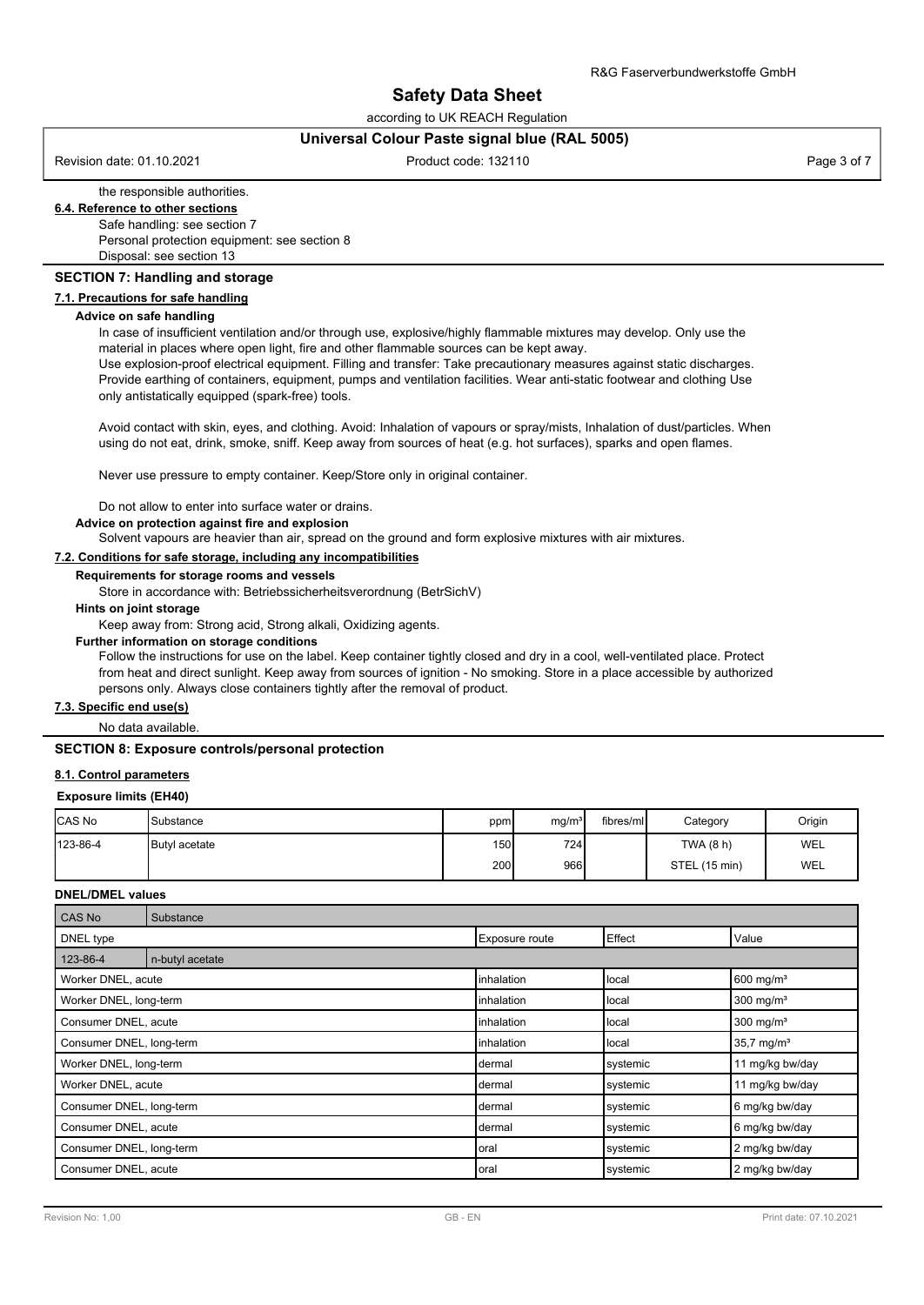according to UK REACH Regulation

#### **Universal Colour Paste signal blue (RAL 5005)**

Revision date: 01.10.2021 **Product code: 132110** Product code: 132110 **Page 3 of 7** Page 3 of 7

# the responsible authorities.

# **6.4. Reference to other sections**

Safe handling: see section 7 Personal protection equipment: see section 8 Disposal: see section 13

#### **SECTION 7: Handling and storage**

#### **7.1. Precautions for safe handling**

#### **Advice on safe handling**

In case of insufficient ventilation and/or through use, explosive/highly flammable mixtures may develop. Only use the material in places where open light, fire and other flammable sources can be kept away.

Use explosion-proof electrical equipment. Filling and transfer: Take precautionary measures against static discharges. Provide earthing of containers, equipment, pumps and ventilation facilities. Wear anti-static footwear and clothing Use only antistatically equipped (spark-free) tools.

Avoid contact with skin, eyes, and clothing. Avoid: Inhalation of vapours or spray/mists, Inhalation of dust/particles. When using do not eat, drink, smoke, sniff. Keep away from sources of heat (e.g. hot surfaces), sparks and open flames.

Never use pressure to empty container. Keep/Store only in original container.

Do not allow to enter into surface water or drains.

**Advice on protection against fire and explosion**

Solvent vapours are heavier than air, spread on the ground and form explosive mixtures with air mixtures.

#### **7.2. Conditions for safe storage, including any incompatibilities**

#### **Requirements for storage rooms and vessels**

Store in accordance with: Betriebssicherheitsverordnung (BetrSichV)

**Hints on joint storage**

Keep away from: Strong acid, Strong alkali, Oxidizing agents.

#### **Further information on storage conditions**

Follow the instructions for use on the label. Keep container tightly closed and dry in a cool, well-ventilated place. Protect from heat and direct sunlight. Keep away from sources of ignition - No smoking. Store in a place accessible by authorized persons only. Always close containers tightly after the removal of product.

#### **7.3. Specific end use(s)**

No data available.

#### **SECTION 8: Exposure controls/personal protection**

#### **8.1. Control parameters**

#### **Exposure limits (EH40)**

| <b>CAS No</b> | Substance            | ppm              | mg/m <sup>3</sup> | fibres/ml | Category      | Origin |
|---------------|----------------------|------------------|-------------------|-----------|---------------|--------|
| 123-86-4      | <b>Butvl acetate</b> | 150 <sup>1</sup> | 724               |           | TWA (8 h)     | WEL    |
|               |                      | 200              | 966               |           | STEL (15 min) | WEL    |

#### **DNEL/DMEL values**

| <b>CAS No</b>            | Substance       |                    |          |                         |
|--------------------------|-----------------|--------------------|----------|-------------------------|
| DNEL type                |                 | Exposure route     | Effect   | Value                   |
| 123-86-4                 | n-butyl acetate |                    |          |                         |
| Worker DNEL, acute       |                 | <b>linhalation</b> | local    | $600$ mg/m <sup>3</sup> |
| Worker DNEL, long-term   |                 | <b>linhalation</b> | local    | 300 mg/ $m3$            |
| Consumer DNEL, acute     |                 | inhalation         | local    | $300$ mg/m <sup>3</sup> |
| Consumer DNEL, long-term |                 | <b>linhalation</b> | local    | $35,7 \text{ mg/m}^3$   |
| Worker DNEL, long-term   |                 | dermal             | systemic | 11 mg/kg bw/day         |
| Worker DNEL, acute       |                 | dermal             | systemic | 11 mg/kg bw/day         |
| Consumer DNEL, long-term |                 | dermal             | systemic | 6 mg/kg bw/day          |
| Consumer DNEL, acute     |                 | dermal             | systemic | 6 mg/kg bw/day          |
| Consumer DNEL, long-term |                 | oral               | systemic | 2 mg/kg bw/day          |
| Consumer DNEL, acute     |                 | oral               | systemic | 2 mg/kg bw/day          |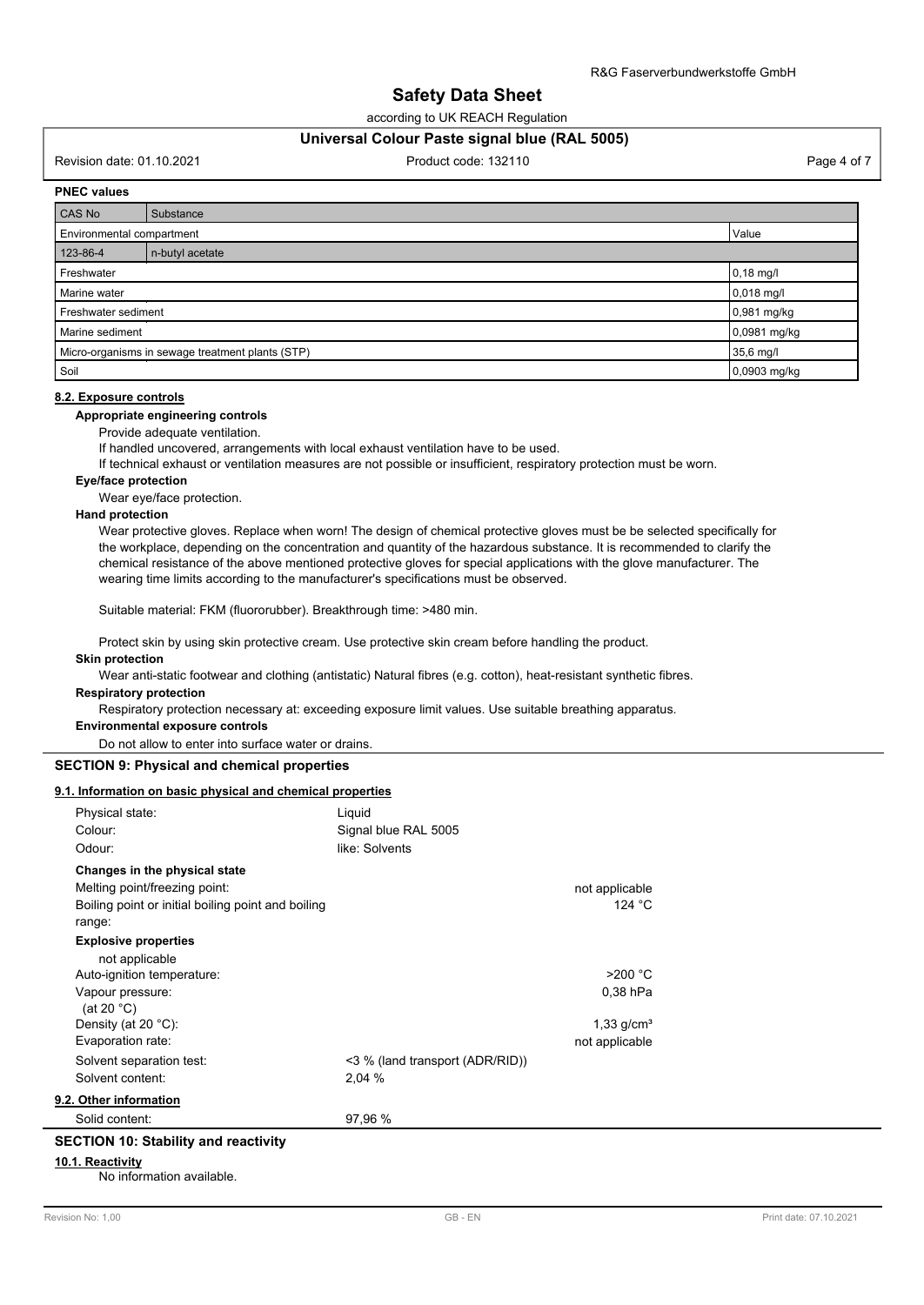according to UK REACH Regulation

#### **Universal Colour Paste signal blue (RAL 5005)**

Revision date: 01.10.2021 **Product code: 132110** Product code: 132110 **Page 4 of 7** Page 4 of 7

#### **PNEC values**

| CAS No                             | Substance                                        |              |
|------------------------------------|--------------------------------------------------|--------------|
| Environmental compartment          |                                                  | Value        |
| 123-86-4                           | n-butyl acetate                                  |              |
| Freshwater                         |                                                  | $0,18$ mg/l  |
| Marine water                       |                                                  | 0,018 mg/l   |
| 0,981 mg/kg<br>Freshwater sediment |                                                  |              |
| Marine sediment                    |                                                  | 0,0981 mg/kg |
|                                    | Micro-organisms in sewage treatment plants (STP) | 35,6 mg/l    |
| Soil                               |                                                  | 0,0903 mg/kg |

#### **8.2. Exposure controls**

#### **Appropriate engineering controls**

Provide adequate ventilation.

If handled uncovered, arrangements with local exhaust ventilation have to be used.

If technical exhaust or ventilation measures are not possible or insufficient, respiratory protection must be worn.

#### **Eye/face protection**

Wear eye/face protection.

#### **Hand protection**

Wear protective gloves. Replace when worn! The design of chemical protective gloves must be be selected specifically for the workplace, depending on the concentration and quantity of the hazardous substance. It is recommended to clarify the chemical resistance of the above mentioned protective gloves for special applications with the glove manufacturer. The wearing time limits according to the manufacturer's specifications must be observed.

Suitable material: FKM (fluororubber). Breakthrough time: >480 min.

Protect skin by using skin protective cream. Use protective skin cream before handling the product.

#### **Skin protection**

Wear anti-static footwear and clothing (antistatic) Natural fibres (e.g. cotton), heat-resistant synthetic fibres. **Respiratory protection**

Respiratory protection necessary at: exceeding exposure limit values. Use suitable breathing apparatus.

#### **Environmental exposure controls**

Do not allow to enter into surface water or drains.

#### **SECTION 9: Physical and chemical properties**

#### **9.1. Information on basic physical and chemical properties**

| Physical state:                                              | Liquid                          |                          |  |
|--------------------------------------------------------------|---------------------------------|--------------------------|--|
| Colour:                                                      | Signal blue RAL 5005            |                          |  |
| Odour:                                                       | like: Solvents                  |                          |  |
| Changes in the physical state                                |                                 |                          |  |
| Melting point/freezing point:                                |                                 | not applicable           |  |
| Boiling point or initial boiling point and boiling<br>range: |                                 | 124 $\degree$ C          |  |
| <b>Explosive properties</b>                                  |                                 |                          |  |
| not applicable                                               |                                 |                          |  |
| Auto-ignition temperature:                                   |                                 | $>200$ °C                |  |
| Vapour pressure:                                             |                                 | $0.38$ hPa               |  |
| (at 20 $^{\circ}$ C)                                         |                                 |                          |  |
| Density (at 20 $°C$ ):                                       |                                 | $1,33$ g/cm <sup>3</sup> |  |
| Evaporation rate:                                            |                                 | not applicable           |  |
| Solvent separation test:                                     | <3 % (land transport (ADR/RID)) |                          |  |
| Solvent content:                                             | 2,04 %                          |                          |  |
| 9.2. Other information                                       |                                 |                          |  |
| Solid content:                                               | 97,96 %                         |                          |  |
| <b>SECTION 10: Stability and reactivity</b>                  |                                 |                          |  |
| 10.1. Reactivity                                             |                                 |                          |  |

#### No information available.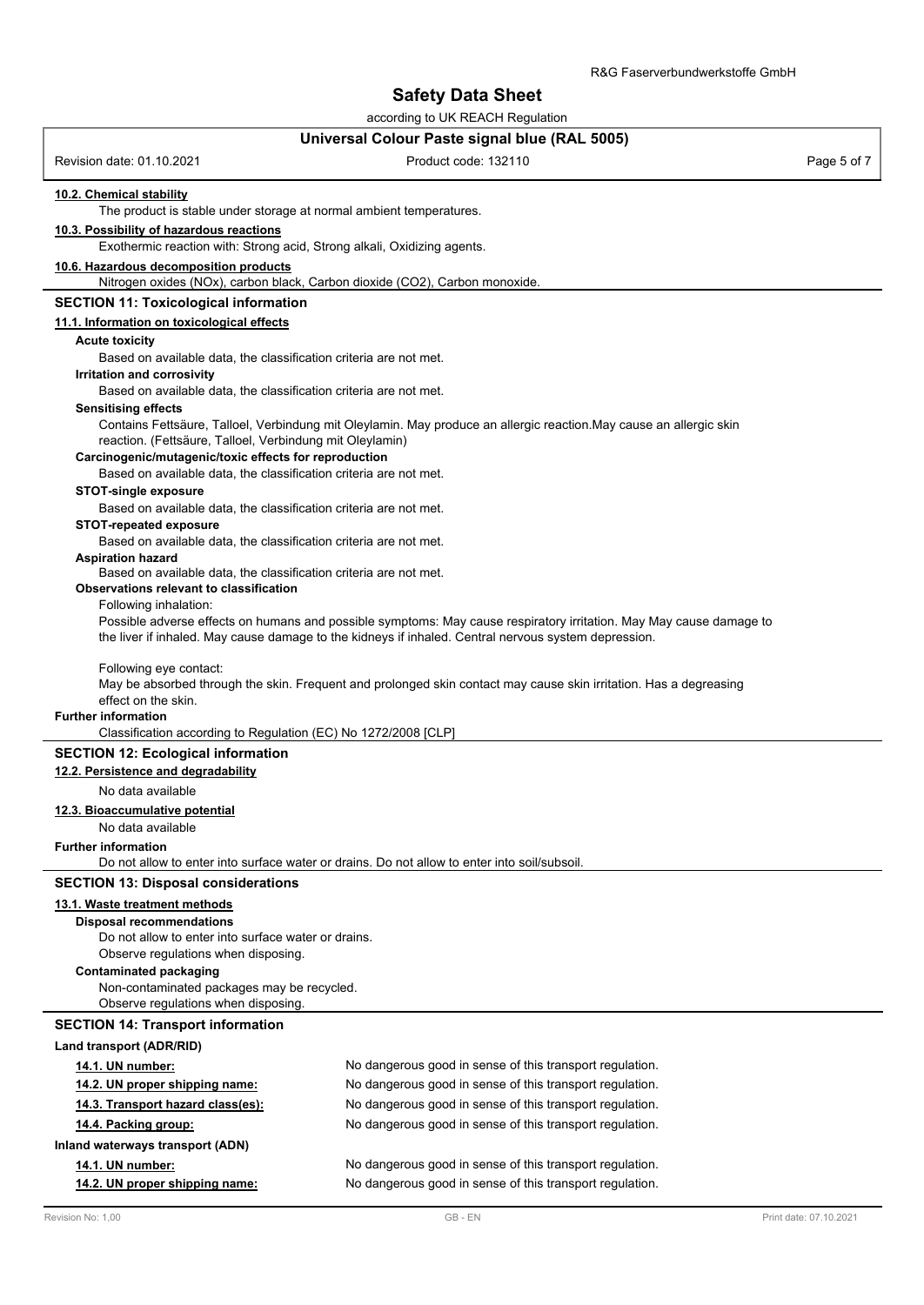according to UK REACH Regulation

# **Universal Colour Paste signal blue (RAL 5005)**

|                                                                                                              | Ulliversal Colour Faste signal blue (NAL 3003)                                                                       |             |
|--------------------------------------------------------------------------------------------------------------|----------------------------------------------------------------------------------------------------------------------|-------------|
| Revision date: 01.10.2021                                                                                    | Product code: 132110                                                                                                 | Page 5 of 7 |
| 10.2. Chemical stability<br>The product is stable under storage at normal ambient temperatures.              |                                                                                                                      |             |
| 10.3. Possibility of hazardous reactions                                                                     |                                                                                                                      |             |
| Exothermic reaction with: Strong acid, Strong alkali, Oxidizing agents.                                      |                                                                                                                      |             |
| 10.6. Hazardous decomposition products                                                                       |                                                                                                                      |             |
| Nitrogen oxides (NOx), carbon black, Carbon dioxide (CO2), Carbon monoxide.                                  |                                                                                                                      |             |
| <b>SECTION 11: Toxicological information</b>                                                                 |                                                                                                                      |             |
| 11.1. Information on toxicological effects                                                                   |                                                                                                                      |             |
| <b>Acute toxicity</b>                                                                                        |                                                                                                                      |             |
| Based on available data, the classification criteria are not met.                                            |                                                                                                                      |             |
| Irritation and corrosivity<br>Based on available data, the classification criteria are not met.              |                                                                                                                      |             |
| <b>Sensitising effects</b>                                                                                   |                                                                                                                      |             |
|                                                                                                              | Contains Fettsäure, Talloel, Verbindung mit Oleylamin. May produce an allergic reaction. May cause an allergic skin  |             |
| reaction. (Fettsäure, Talloel, Verbindung mit Oleylamin)                                                     |                                                                                                                      |             |
| Carcinogenic/mutagenic/toxic effects for reproduction                                                        |                                                                                                                      |             |
| Based on available data, the classification criteria are not met.                                            |                                                                                                                      |             |
| <b>STOT-single exposure</b><br>Based on available data, the classification criteria are not met.             |                                                                                                                      |             |
| <b>STOT-repeated exposure</b>                                                                                |                                                                                                                      |             |
| Based on available data, the classification criteria are not met.                                            |                                                                                                                      |             |
| <b>Aspiration hazard</b>                                                                                     |                                                                                                                      |             |
| Based on available data, the classification criteria are not met.<br>Observations relevant to classification |                                                                                                                      |             |
| Following inhalation:                                                                                        |                                                                                                                      |             |
|                                                                                                              | Possible adverse effects on humans and possible symptoms: May cause respiratory irritation. May May cause damage to  |             |
|                                                                                                              | the liver if inhaled. May cause damage to the kidneys if inhaled. Central nervous system depression.                 |             |
|                                                                                                              |                                                                                                                      |             |
| Following eye contact:                                                                                       | May be absorbed through the skin. Frequent and prolonged skin contact may cause skin irritation. Has a degreasing    |             |
| effect on the skin.                                                                                          |                                                                                                                      |             |
| <b>Further information</b>                                                                                   |                                                                                                                      |             |
| Classification according to Regulation (EC) No 1272/2008 [CLP]                                               |                                                                                                                      |             |
| <b>SECTION 12: Ecological information</b>                                                                    |                                                                                                                      |             |
| 12.2. Persistence and degradability                                                                          |                                                                                                                      |             |
| No data available                                                                                            |                                                                                                                      |             |
| 12.3. Bioaccumulative potential<br>No data available                                                         |                                                                                                                      |             |
| <b>Further information</b>                                                                                   |                                                                                                                      |             |
|                                                                                                              | Do not allow to enter into surface water or drains. Do not allow to enter into soil/subsoil.                         |             |
| <b>SECTION 13: Disposal considerations</b>                                                                   |                                                                                                                      |             |
| 13.1. Waste treatment methods                                                                                |                                                                                                                      |             |
| <b>Disposal recommendations</b>                                                                              |                                                                                                                      |             |
| Do not allow to enter into surface water or drains.                                                          |                                                                                                                      |             |
| Observe regulations when disposing.                                                                          |                                                                                                                      |             |
| <b>Contaminated packaging</b>                                                                                |                                                                                                                      |             |
| Non-contaminated packages may be recycled.<br>Observe regulations when disposing.                            |                                                                                                                      |             |
| <b>SECTION 14: Transport information</b>                                                                     |                                                                                                                      |             |
| Land transport (ADR/RID)                                                                                     |                                                                                                                      |             |
|                                                                                                              | No dangerous good in sense of this transport regulation.                                                             |             |
| 14.1. UN number:<br>14.2. UN proper shipping name:                                                           | No dangerous good in sense of this transport regulation.                                                             |             |
| 14.3. Transport hazard class(es):                                                                            | No dangerous good in sense of this transport regulation.                                                             |             |
| 14.4. Packing group:                                                                                         | No dangerous good in sense of this transport regulation.                                                             |             |
|                                                                                                              |                                                                                                                      |             |
| Inland waterways transport (ADN)                                                                             |                                                                                                                      |             |
| 14.1. UN number:                                                                                             | No dangerous good in sense of this transport regulation.<br>No dangerous good in sense of this transport regulation. |             |
| 14.2. UN proper shipping name:                                                                               |                                                                                                                      |             |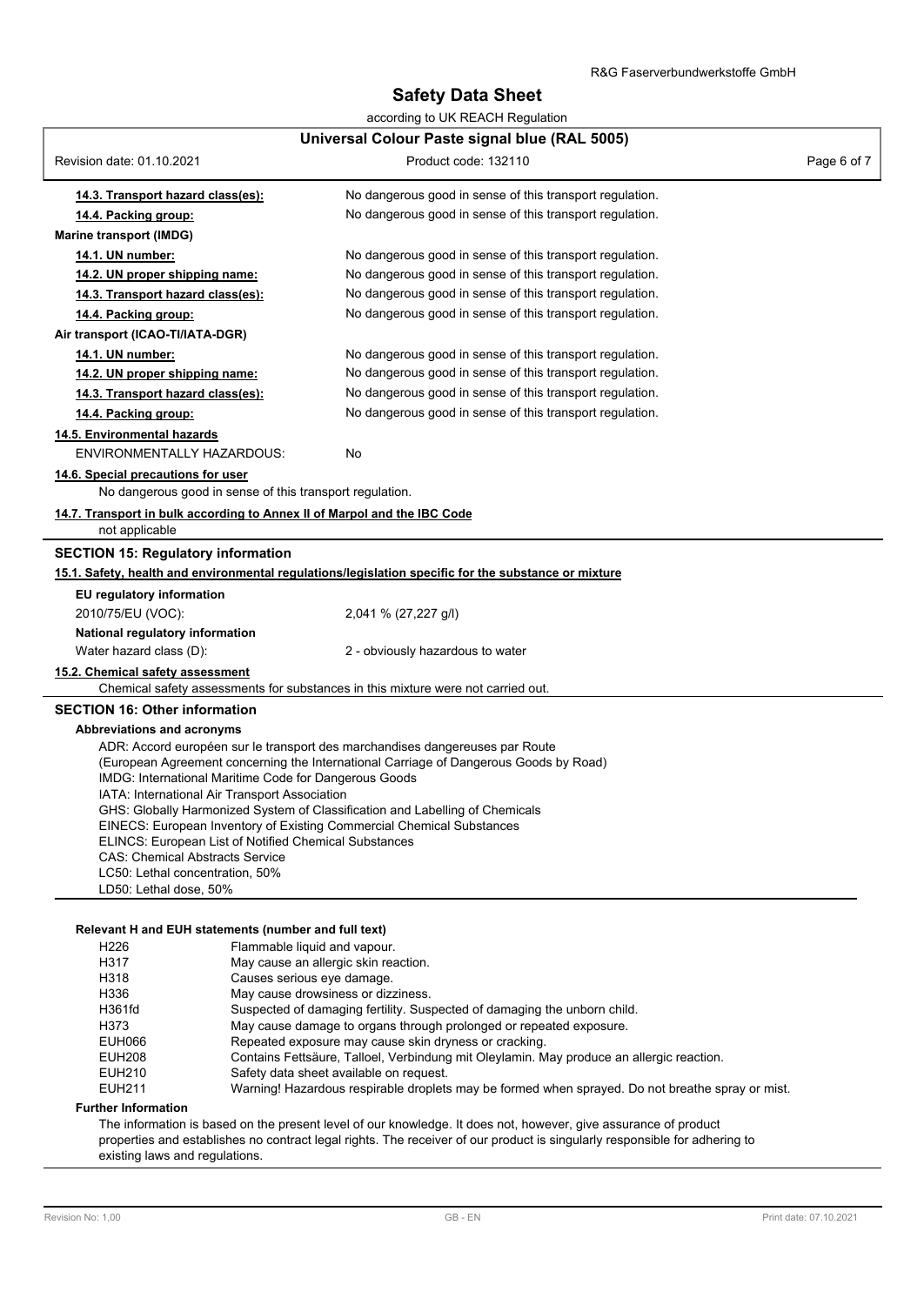| according to UK REACH Regulation                                                                |                                                                                                      |             |
|-------------------------------------------------------------------------------------------------|------------------------------------------------------------------------------------------------------|-------------|
| Universal Colour Paste signal blue (RAL 5005)                                                   |                                                                                                      |             |
| Revision date: 01.10.2021                                                                       | Product code: 132110                                                                                 | Page 6 of 7 |
| 14.3. Transport hazard class(es):                                                               | No dangerous good in sense of this transport regulation.                                             |             |
| 14.4. Packing group:                                                                            | No dangerous good in sense of this transport regulation.                                             |             |
| Marine transport (IMDG)                                                                         |                                                                                                      |             |
| 14.1. UN number:                                                                                | No dangerous good in sense of this transport regulation.                                             |             |
| 14.2. UN proper shipping name:                                                                  | No dangerous good in sense of this transport regulation.                                             |             |
| 14.3. Transport hazard class(es):                                                               | No dangerous good in sense of this transport regulation.                                             |             |
| 14.4. Packing group:                                                                            | No dangerous good in sense of this transport regulation.                                             |             |
| Air transport (ICAO-TI/IATA-DGR)                                                                |                                                                                                      |             |
| 14.1. UN number:                                                                                | No dangerous good in sense of this transport regulation.                                             |             |
| 14.2. UN proper shipping name:                                                                  | No dangerous good in sense of this transport regulation.                                             |             |
| 14.3. Transport hazard class(es):                                                               | No dangerous good in sense of this transport regulation.                                             |             |
| 14.4. Packing group:                                                                            | No dangerous good in sense of this transport regulation.                                             |             |
| 14.5. Environmental hazards<br><b>ENVIRONMENTALLY HAZARDOUS:</b>                                | No                                                                                                   |             |
| 14.6. Special precautions for user<br>No dangerous good in sense of this transport regulation.  |                                                                                                      |             |
| 14.7. Transport in bulk according to Annex II of Marpol and the IBC Code                        |                                                                                                      |             |
| not applicable                                                                                  |                                                                                                      |             |
| <b>SECTION 15: Regulatory information</b>                                                       |                                                                                                      |             |
|                                                                                                 | 15.1. Safety, health and environmental regulations/legislation specific for the substance or mixture |             |
| EU regulatory information                                                                       |                                                                                                      |             |
| 2010/75/EU (VOC):                                                                               | 2,041 % (27,227 g/l)                                                                                 |             |
| National regulatory information                                                                 |                                                                                                      |             |
| Water hazard class (D):                                                                         | 2 - obviously hazardous to water                                                                     |             |
| 15.2. Chemical safety assessment                                                                |                                                                                                      |             |
|                                                                                                 | Chemical safety assessments for substances in this mixture were not carried out.                     |             |
| <b>SECTION 16: Other information</b>                                                            |                                                                                                      |             |
| Abbreviations and acronyms                                                                      |                                                                                                      |             |
|                                                                                                 | ADR: Accord européen sur le transport des marchandises dangereuses par Route                         |             |
| IMDG: International Maritime Code for Dangerous Goods                                           | (European Agreement concerning the International Carriage of Dangerous Goods by Road)                |             |
| IATA: International Air Transport Association                                                   |                                                                                                      |             |
|                                                                                                 | GHS: Globally Harmonized System of Classification and Labelling of Chemicals                         |             |
|                                                                                                 | EINECS: European Inventory of Existing Commercial Chemical Substances                                |             |
| ELINCS: European List of Notified Chemical Substances<br><b>CAS: Chemical Abstracts Service</b> |                                                                                                      |             |
| LC50: Lethal concentration, 50%                                                                 |                                                                                                      |             |
| LD50: Lethal dose, 50%                                                                          |                                                                                                      |             |
|                                                                                                 |                                                                                                      |             |
| Relevant H and EUH statements (number and full text)                                            |                                                                                                      |             |
| H <sub>226</sub>                                                                                | Flammable liquid and vapour.                                                                         |             |
| <b>H317</b>                                                                                     | May cause an allergic skin reaction                                                                  |             |

| H226          | Flammable liquid and vapour.                                                                     |
|---------------|--------------------------------------------------------------------------------------------------|
| H317          | May cause an allergic skin reaction.                                                             |
| H318          | Causes serious eye damage.                                                                       |
| H336          | May cause drowsiness or dizziness.                                                               |
| H361fd        | Suspected of damaging fertility. Suspected of damaging the unborn child.                         |
| H373          | May cause damage to organs through prolonged or repeated exposure.                               |
| EUH066        | Repeated exposure may cause skin dryness or cracking.                                            |
| <b>EUH208</b> | Contains Fettsäure, Talloel, Verbindung mit Oleylamin. May produce an allergic reaction.         |
| EUH210        | Safety data sheet available on request.                                                          |
| EUH211        | Warning! Hazardous respirable droplets may be formed when sprayed. Do not breathe spray or mist. |
|               |                                                                                                  |

#### **Further Information**

The information is based on the present level of our knowledge. It does not, however, give assurance of product properties and establishes no contract legal rights. The receiver of our product is singularly responsible for adhering to existing laws and regulations.